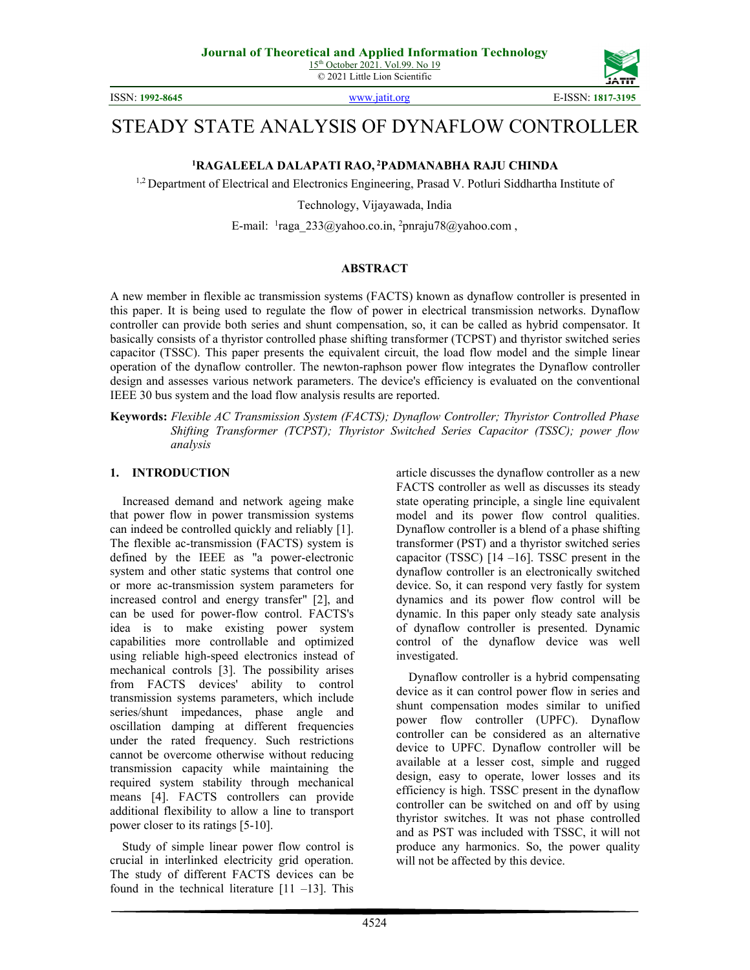

ISSN: **1992-8645** [www.jatit.org](http://www.jatit.org/) E-ISSN: **1817-3195**

# STEADY STATE ANALYSIS OF DYNAFLOW CONTROLLER

**<sup>1</sup>RAGALEELA DALAPATI RAO, <sup>2</sup>PADMANABHA RAJU CHINDA** 

<sup>1,2</sup> Department of Electrical and Electronics Engineering, Prasad V. Potluri Siddhartha Institute of

Technology, Vijayawada, India

E-mail: <sup>1</sup>raga\_233@yahoo.co.in, <sup>2</sup>pnraju78@yahoo.com,

#### **ABSTRACT**

A new member in flexible ac transmission systems (FACTS) known as dynaflow controller is presented in this paper. It is being used to regulate the flow of power in electrical transmission networks. Dynaflow controller can provide both series and shunt compensation, so, it can be called as hybrid compensator. It basically consists of a thyristor controlled phase shifting transformer (TCPST) and thyristor switched series capacitor (TSSC). This paper presents the equivalent circuit, the load flow model and the simple linear operation of the dynaflow controller. The newton-raphson power flow integrates the Dynaflow controller design and assesses various network parameters. The device's efficiency is evaluated on the conventional IEEE 30 bus system and the load flow analysis results are reported.

**Keywords:** *Flexible AC Transmission System (FACTS); Dynaflow Controller; Thyristor Controlled Phase Shifting Transformer (TCPST); Thyristor Switched Series Capacitor (TSSC); power flow analysis*

### **1. INTRODUCTION**

Increased demand and network ageing make that power flow in power transmission systems can indeed be controlled quickly and reliably [1]. The flexible ac-transmission (FACTS) system is defined by the IEEE as "a power-electronic system and other static systems that control one or more ac-transmission system parameters for increased control and energy transfer" [2], and can be used for power-flow control. FACTS's idea is to make existing power system capabilities more controllable and optimized using reliable high-speed electronics instead of mechanical controls [3]. The possibility arises from FACTS devices' ability to control transmission systems parameters, which include series/shunt impedances, phase angle and oscillation damping at different frequencies under the rated frequency. Such restrictions cannot be overcome otherwise without reducing transmission capacity while maintaining the required system stability through mechanical means [4]. FACTS controllers can provide additional flexibility to allow a line to transport power closer to its ratings [5-10].

Study of simple linear power flow control is crucial in interlinked electricity grid operation. The study of different FACTS devices can be found in the technical literature  $[11 -13]$ . This

article discusses the dynaflow controller as a new FACTS controller as well as discusses its steady state operating principle, a single line equivalent model and its power flow control qualities. Dynaflow controller is a blend of a phase shifting transformer (PST) and a thyristor switched series capacitor (TSSC)  $[14 - 16]$ . TSSC present in the dynaflow controller is an electronically switched device. So, it can respond very fastly for system dynamics and its power flow control will be dynamic. In this paper only steady sate analysis of dynaflow controller is presented. Dynamic control of the dynaflow device was well investigated.

Dynaflow controller is a hybrid compensating device as it can control power flow in series and shunt compensation modes similar to unified power flow controller (UPFC). Dynaflow controller can be considered as an alternative device to UPFC. Dynaflow controller will be available at a lesser cost, simple and rugged design, easy to operate, lower losses and its efficiency is high. TSSC present in the dynaflow controller can be switched on and off by using thyristor switches. It was not phase controlled and as PST was included with TSSC, it will not produce any harmonics. So, the power quality will not be affected by this device.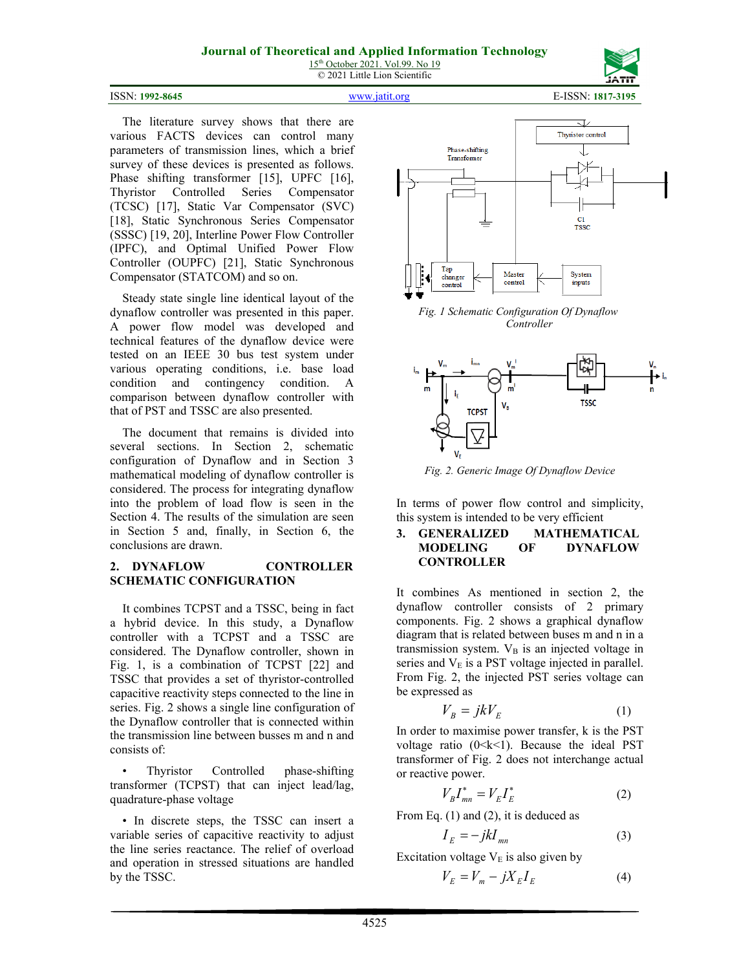



ISSN: **1992-8645** [www.jatit.org](http://www.jatit.org/) E-ISSN: **1817-3195**

The literature survey shows that there are various FACTS devices can control many parameters of transmission lines, which a brief survey of these devices is presented as follows. Phase shifting transformer [15], UPFC [16], Thyristor Controlled Series Compensator (TCSC) [17], Static Var Compensator (SVC) [18], Static Synchronous Series Compensator (SSSC) [19, 20], Interline Power Flow Controller (IPFC), and Optimal Unified Power Flow Controller (OUPFC) [21], Static Synchronous Compensator (STATCOM) and so on.

Steady state single line identical layout of the dynaflow controller was presented in this paper. A power flow model was developed and technical features of the dynaflow device were tested on an IEEE 30 bus test system under various operating conditions, i.e. base load condition and contingency condition. A comparison between dynaflow controller with that of PST and TSSC are also presented.

The document that remains is divided into several sections. In Section 2, schematic configuration of Dynaflow and in Section 3 mathematical modeling of dynaflow controller is considered. The process for integrating dynaflow into the problem of load flow is seen in the Section 4. The results of the simulation are seen in Section 5 and, finally, in Section 6, the conclusions are drawn.

### **2. DYNAFLOW CONTROLLER SCHEMATIC CONFIGURATION**

It combines TCPST and a TSSC, being in fact a hybrid device. In this study, a Dynaflow controller with a TCPST and a TSSC are considered. The Dynaflow controller, shown in Fig. 1, is a combination of TCPST [22] and TSSC that provides a set of thyristor-controlled capacitive reactivity steps connected to the line in series. Fig. 2 shows a single line configuration of the Dynaflow controller that is connected within the transmission line between busses m and n and consists of:

• Thyristor Controlled phase-shifting transformer (TCPST) that can inject lead/lag, quadrature-phase voltage

• In discrete steps, the TSSC can insert a variable series of capacitive reactivity to adjust the line series reactance. The relief of overload and operation in stressed situations are handled by the TSSC.



*Fig. 1 Schematic Configuration Of Dynaflow Controller*



*Fig. 2. Generic Image Of Dynaflow Device*

In terms of power flow control and simplicity, this system is intended to be very efficient

#### **3. GENERALIZED MATHEMATICAL MODELING OF DYNAFLOW CONTROLLER**

It combines As mentioned in section 2, the dynaflow controller consists of 2 primary components. Fig. 2 shows a graphical dynaflow diagram that is related between buses m and n in a transmission system.  $V_B$  is an injected voltage in series and  $V<sub>E</sub>$  is a PST voltage injected in parallel. From Fig. 2, the injected PST series voltage can be expressed as

$$
V_B = jkV_E \tag{1}
$$

In order to maximise power transfer, k is the PST voltage ratio  $(0 \le k \le 1)$ . Because the ideal PST transformer of Fig. 2 does not interchange actual or reactive power.

$$
V_B I_{mn}^* = V_E I_E^*
$$
 (2)

From Eq. (1) and (2), it is deduced as

$$
I_E = -j k I_{mn} \tag{3}
$$

Excitation voltage  $V_E$  is also given by

$$
V_E = V_m - jX_E I_E \tag{4}
$$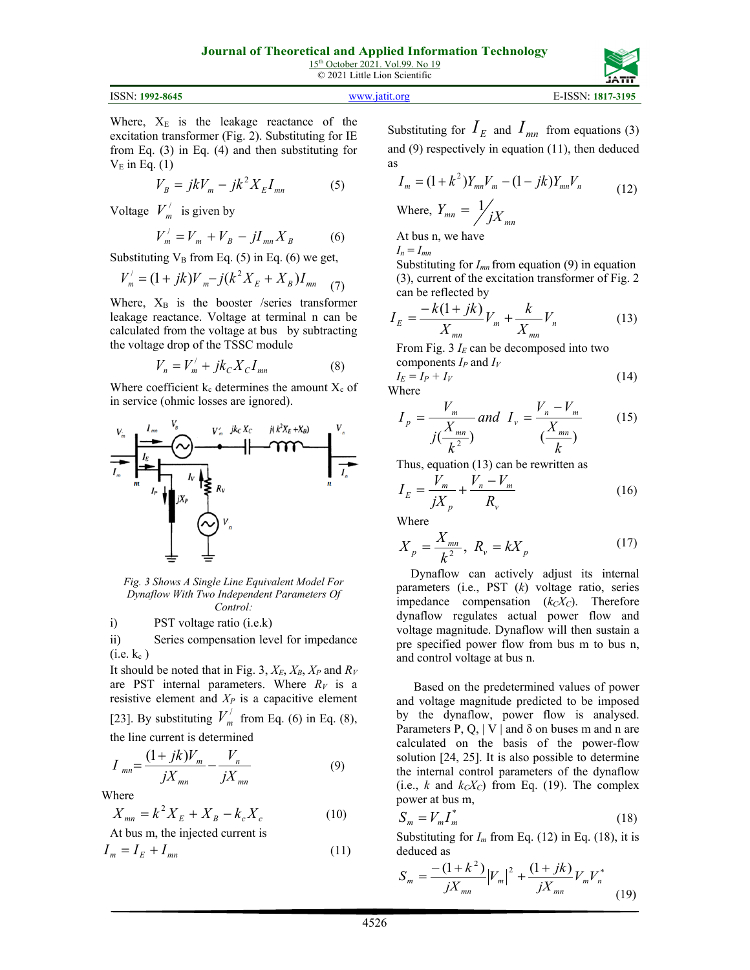



Where,  $X_E$  is the leakage reactance of the excitation transformer (Fig. 2). Substituting for IE from Eq. (3) in Eq. (4) and then substituting for  $V_E$  in Eq. (1)

$$
V_B = jkV_m - jk^2 X_E I_{mn}
$$
 (5)

Voltage  $V'_m$  is given by

$$
V_m' = V_m + V_B - jI_{mn}X_B \tag{6}
$$

Substituting  $V_B$  from Eq. (5) in Eq. (6) we get,

$$
V'_{m} = (1 + jk)V_{m} - j(k^{2}X_{E} + X_{B})I_{mn}
$$
 (7)

Where,  $X_B$  is the booster /series transformer leakage reactance. Voltage at terminal n can be calculated from the voltage at bus by subtracting the voltage drop of the TSSC module

$$
V_n = V'_m + jk_c X_c I_{mn}
$$
 (8)

Where coefficient  $k_c$  determines the amount  $X_c$  of in service (ohmic losses are ignored).



*Fig. 3 Shows A Single Line Equivalent Model For Dynaflow With Two Independent Parameters Of Control:*

i) PST voltage ratio (i.e.k)

ii) Series compensation level for impedance  $(i.e. k_c)$ 

It should be noted that in Fig. 3,  $X_E$ ,  $X_B$ ,  $X_P$  and  $R_V$ are PST internal parameters. Where  $R_V$  is a resistive element and *XP* is a capacitive element [23]. By substituting  $V'_m$  from Eq. (6) in Eq. (8), the line current is determined

$$
I_{mn} = \frac{(1 + jk)V_m}{jX_{mn}} - \frac{V_n}{jX_{mn}}
$$
(9)

Where

$$
X_{mn} = k^2 X_E + X_B - k_c X_c
$$
 (10)

At bus m, the injected current is

$$
I_m = I_E + I_{mn} \tag{11}
$$

Substituting for  $I_E$  and  $I_{mn}$  from equations (3) and (9) respectively in equation (11), then deduced as

$$
I_m = (1 + k^2)Y_{mn}V_m - (1 - jk)Y_{mn}V_n
$$
  
Where,  $Y_{mn} = \frac{1}{j}X_{mn}$  (12)

At bus n, we have

 $I_n = I_{mn}$ 

Substituting for *Imn* from equation (9) in equation (3), current of the excitation transformer of Fig. 2 can be reflected by

$$
I_E = \frac{-k(1+jk)}{X_{mn}}V_m + \frac{k}{X_{mn}}V_n
$$
 (13)

From Fig.  $3 I_E$  can be decomposed into two components *IP* and *IV*

$$
I_E = I_P + I_V
$$
 (14)

W

$$
I_{p} = \frac{V_{m}}{j(\frac{X_{mn}}{k^{2}})} \text{ and } I_{v} = \frac{V_{n} - V_{m}}{(\frac{X_{mn}}{k})}
$$
(15)

Thus, equation (13) can be rewritten as

$$
I_E = \frac{V_m}{jX_p} + \frac{V_n - V_m}{R_v}
$$
 (16)

Where

$$
X_p = \frac{X_{mn}}{k^2}, \ R_v = kX_p \tag{17}
$$

Dynaflow can actively adjust its internal parameters (i.e., PST (*k*) voltage ratio, series impedance compensation  $(k<sub>C</sub>X<sub>C</sub>)$ . Therefore dynaflow regulates actual power flow and voltage magnitude. Dynaflow will then sustain a pre specified power flow from bus m to bus n, and control voltage at bus n.

Based on the predetermined values of power and voltage magnitude predicted to be imposed by the dynaflow, power flow is analysed. Parameters P, Q, | V | and  $\delta$  on buses m and n are calculated on the basis of the power-flow solution [24, 25]. It is also possible to determine the internal control parameters of the dynaflow (i.e.,  $k$  and  $k_cX_c$ ) from Eq. (19). The complex power at bus m, \*

$$
S_m = V_m I_m^* \tag{18}
$$

Substituting for  $I_m$  from Eq. (12) in Eq. (18), it is deduced as

$$
S_m = \frac{-(1+k^2)}{jX_{mn}} |V_m|^2 + \frac{(1+jk)}{jX_{mn}} V_m V_n^*
$$
(19)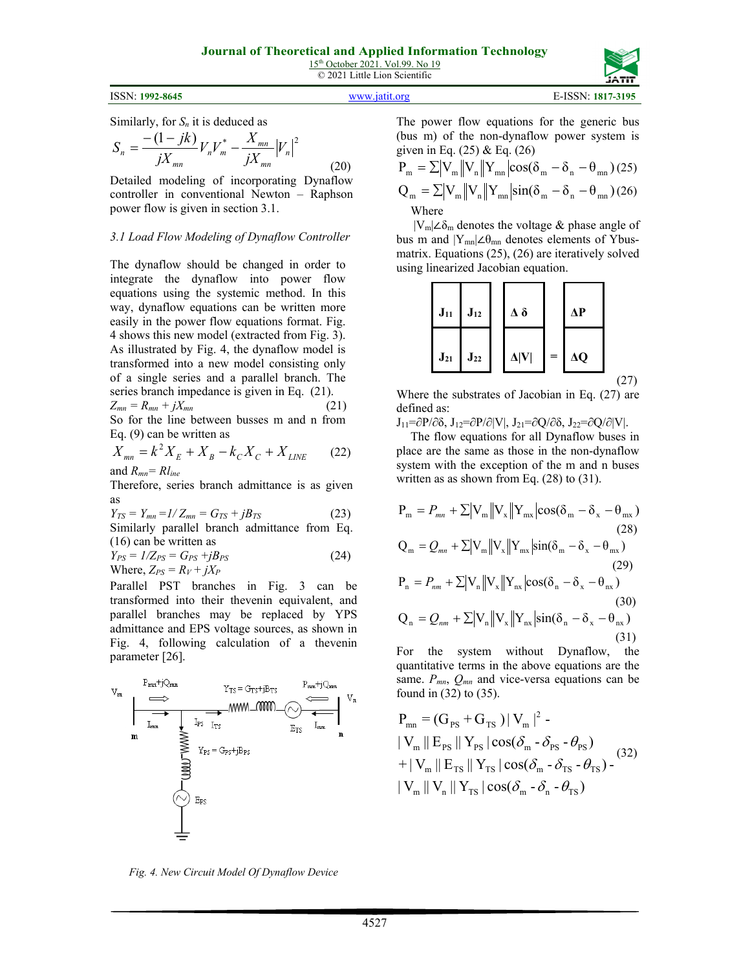ISSN: **1992-8645** [www.jatit.org](http://www.jatit.org/) E-ISSN: **1817-3195**

Similarly, for  $S_n$  it is deduced as

$$
S_n = \frac{-(1-jk)}{jX_{mn}} V_n V_m^* - \frac{X_{mn}}{jX_{mn}} |V_n|^2
$$
\n(20)

Detailed modeling of incorporating Dynaflow controller in conventional Newton – Raphson power flow is given in section 3.1.

#### *3.1 Load Flow Modeling of Dynaflow Controller*

The dynaflow should be changed in order to integrate the dynaflow into power flow equations using the systemic method. In this way, dynaflow equations can be written more easily in the power flow equations format. Fig. 4 shows this new model (extracted from Fig. 3). As illustrated by Fig. 4, the dynaflow model is transformed into a new model consisting only of a single series and a parallel branch. The series branch impedance is given in Eq. (21).  $Z_{mn} = R_{mn} + iX_{mn}$  (21)

So for the line between busses m and n from Eq. (9) can be written as

$$
X_{mn} = k^2 X_E + X_B - k_C X_C + X_{LINE}
$$
 (22)

and *Rmn= Rline*

Therefore, series branch admittance is as given as

$$
Y_{TS} = Y_{mn} = I/Z_{mn} = G_{TS} + jB_{TS}
$$
 (23)

Similarly parallel branch admittance from Eq. (16) can be written as

$$
Y_{PS} = 1/Z_{PS} = G_{PS} + jB_{PS}
$$
  
Where,  $Z_{PS} = R_V + jX_P$  (24)

Parallel PST branches in Fig. 3 can be transformed into their thevenin equivalent, and parallel branches may be replaced by YPS admittance and EPS voltage sources, as shown in Fig. 4, following calculation of a thevenin parameter [26].



The power flow equations for the generic bus (bus m) of the non-dynaflow power system is given in Eq.  $(25)$  & Eq.  $(26)$ 

$$
P_m = \sum |V_m||V_n||Y_{mn}|\cos(\delta_m - \delta_n - \theta_{mn})
$$
 (25)  

$$
Q_m = \sum |V_m||V_n||Y_{mn}|\sin(\delta_m - \delta_n - \theta_{mn})
$$
 (26)  
Where

 $|V_m|\angle\delta_m$  denotes the voltage & phase angle of bus m and  $|Y_{mn}|\angle\theta_{mn}$  denotes elements of Ybusmatrix. Equations (25), (26) are iteratively solved using linearized Jacobian equation.



(27)

Where the substrates of Jacobian in Eq. (27) are defined as:

 $J_{11}=\partial P/\partial \delta$ ,  $J_{12}=\partial P/\partial |V|$ ,  $J_{21}=\partial Q/\partial \delta$ ,  $J_{22}=\partial Q/\partial |V|$ .

The flow equations for all Dynaflow buses in place are the same as those in the non-dynaflow system with the exception of the m and n buses written as as shown from Eq.  $(28)$  to  $(31)$ .

$$
P_{m} = P_{mn} + \sum |V_{m}||V_{x}||Y_{mx}|cos(\delta_{m} - \delta_{x} - \theta_{mx})
$$
\n(28)  
\n
$$
Q_{m} = Q_{mn} + \sum |V_{m}||V_{x}||Y_{mx}|sin(\delta_{m} - \delta_{x} - \theta_{mx})
$$
\n(29)  
\n
$$
P_{n} = P_{nm} + \sum |V_{n}||V_{x}||Y_{nx}|cos(\delta_{n} - \delta_{x} - \theta_{nx})
$$
\n(30)  
\n
$$
Q_{n} = Q_{nm} + \sum |V_{n}||V_{x}||Y_{nx}|sin(\delta_{n} - \delta_{x} - \theta_{nx})
$$
\n(31)

For the system without Dynaflow, the quantitative terms in the above equations are the same. *Pmn*, *Qmn* and vice-versa equations can be found in (32) to (35).

$$
P_{mn} = (G_{PS} + G_{TS}) |V_m|^2 -
$$
  
\n
$$
|V_m||E_{PS}||Y_{PS}|\cos(\delta_m - \delta_{PS} - \theta_{PS})
$$
  
\n
$$
+ |V_m||E_{TS}||Y_{TS}|\cos(\delta_m - \delta_{TS} - \theta_{TS}) -
$$
  
\n
$$
|V_m||V_n||Y_{TS}|\cos(\delta_m - \delta_n - \theta_{TS})
$$
 (32)

*Fig. 4. New Circuit Model Of Dynaflow Device*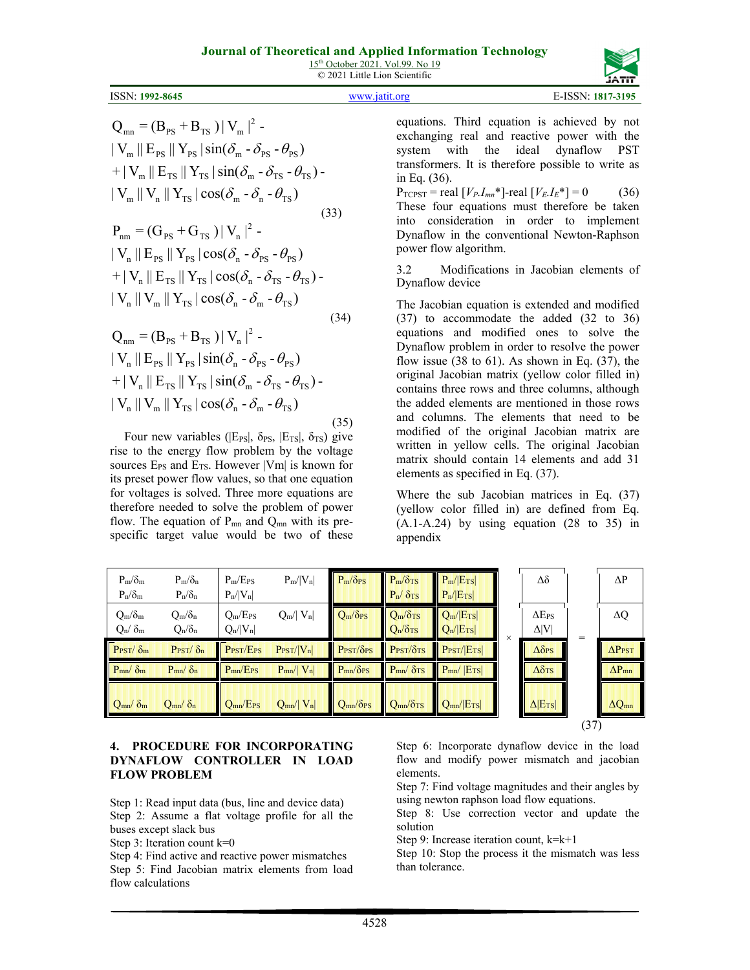| 15 <sup>th</sup> October 2021. Vol.99. No 19 |                               |  |
|----------------------------------------------|-------------------------------|--|
|                                              | © 2021 Little Lion Scientific |  |



| $Q_{mn} = (B_{ps} + B_{rs})  V_m ^2$ .                             |      |
|--------------------------------------------------------------------|------|
| $\ V_m\ E_{PS}\ Y_{PS}\sin(\delta_m - \delta_{PS} - \theta_{PS})$  |      |
| $+ V_m  E_{TS}  Y_{TS} \sin(\delta_m - \delta_{TS} - \theta_{TS})$ |      |
| $\ V_m\ V_n\ Y_{TS}\cos(\delta_m - \delta_n - \theta_{TS})$        |      |
|                                                                    | (33) |
| $P_{nm} = (G_{ps} + G_{TS})  V_n ^2$ -                             |      |

$$
|V_{n}||E_{PS}||Y_{PS}|\cos(\delta_{n} - \delta_{PS} - \theta_{PS})
$$
  
+|V\_{n}||E\_{TS}||Y\_{TS}|\cos(\delta\_{n} - \delta\_{TS} - \theta\_{TS}) -  
|V\_{n}||V\_{m}||Y\_{TS}|\cos(\delta\_{n} - \delta\_{m} - \theta\_{TS})  
Q\_{nm} = (B\_{PS} + B\_{TS})|V\_{n}|^{2} (34)

 $\|V_{\rm n}\|V_{\rm m}\|$   $Y_{\rm TS}\cos(\delta_{\rm n}\cdot\delta_{\rm m}\cdot\theta_{\rm TS})$ + |  $V_{n}$  ||  $E_{TS}$  ||  $Y_{TS}$  |  $\sin(\delta_{m} - \delta_{TS} - \theta_{TS})$  - $\|V_{n}\|E_{PS}\|Y_{PS}\sin(\delta_{n}-\delta_{PS}-\theta_{PS})$ (35)

Four new variables ( $|E_{PS}|$ ,  $\delta_{PS}$ ,  $|E_{TS}|$ ,  $\delta_{TS}$ ) give rise to the energy flow problem by the voltage sources  $E_{PS}$  and  $E_{TS}$ . However |Vm| is known for its preset power flow values, so that one equation for voltages is solved. Three more equations are therefore needed to solve the problem of power flow. The equation of  $P_{mn}$  and  $Q_{mn}$  with its prespecific target value would be two of these

equations. Third equation is achieved by not exchanging real and reactive power with the system with the ideal dynaflow PST transformers. It is therefore possible to write as in Eq. (36).

 $P_{TCPST}$  = real  $[V_{P}I_{mn}^*]$ -real  $[V_{E}I_{E}^*] = 0$  (36) These four equations must therefore be taken into consideration in order to implement Dynaflow in the conventional Newton-Raphson power flow algorithm.

3.2 Modifications in Jacobian elements of Dynaflow device

The Jacobian equation is extended and modified (37) to accommodate the added (32 to 36) equations and modified ones to solve the Dynaflow problem in order to resolve the power flow issue  $(38 \text{ to } 61)$ . As shown in Eq.  $(37)$ , the original Jacobian matrix (yellow color filled in) contains three rows and three columns, although the added elements are mentioned in those rows and columns. The elements that need to be modified of the original Jacobian matrix are written in yellow cells. The original Jacobian matrix should contain 14 elements and add 31 elements as specified in Eq. (37).

Where the sub Jacobian matrices in Eq. (37) (yellow color filled in) are defined from Eq.  $(A.1-A.24)$  by using equation  $(28 \text{ to } 35)$  in appendix

| $P_{\rm m}/\delta_{\rm m}$<br>$P_n/\delta_m$ | $P_m/\delta_n$<br>$P_n/\delta_n$ | $P_{m}/E_{PS}$<br>$P_n/ V_n $     | $P_m/ V_n $            | $P_m/\delta_{PS}$                   | $P_{m}/\delta_{TS}$<br>$P_n / \delta_{TS}$ | $P_m/ E_{TS} $<br>$P_n/ E_{TS} $ |          | Δδ                             |      | $\Delta P$               |
|----------------------------------------------|----------------------------------|-----------------------------------|------------------------|-------------------------------------|--------------------------------------------|----------------------------------|----------|--------------------------------|------|--------------------------|
| $Q_m/\delta_m$<br>$Q_n / \delta_m$           | $Q_m/\delta_n$<br>$Q_n/\delta_n$ | $Q_m/E_{PS}$<br>$Q_n/ V_n $       | $Q_m /  V_n $          | $Q_m/\delta_{PS}$                   | $Q_m/\delta$ TS<br>$Q_n/\delta_{TS}$       | $Q_m/ E_{TS} $<br>$Q_n/ E_{TS} $ | $\times$ | $\Delta E_{PS}$<br>$\Delta V $ | =    | $\Delta Q$               |
| $P_{\text{PST}}/\delta_{\text{m}}$           | $P_{\text{PST}}/\delta_n$        | P <sub>PST</sub> /E <sub>PS</sub> | $P_{\text{PST}}/ V_n $ | $P_{\text{PST}}/\delta_{\text{PS}}$ | $P_{\text{PST}}/\delta_{\text{TS}}$        | $P_{\text{PST}}/ E_{\text{TS}} $ |          | $\Delta \delta$ PS             |      | $\Delta P_{\text{PST}}$  |
| $P_{mn}/\delta_m$                            | $P_{mn}/\delta_n$                | $P_{mn}/E_{PS}$                   | $P_{mn}/ V_n $         | $P_{mn}/\delta_{PS}$                | $P_{mn}/\delta_{TS}$                       | $P_{mn}/ E_{TS} $                |          | $\Delta \delta$ TS             |      | $\Delta P$ <sub>mn</sub> |
| $Q_{mn}/\delta_m$                            | $Q_{mn}/\delta_n$                | $Q_{mn}/E_{PS}$                   | $Q_{mn}$ /  $V_n$      | $Q_{mn}/\delta_{PS}$                | $Q_{mn}/\delta_{TS}$                       | $Q_{mn}/ E_{TS} $                |          | $\Delta$  E <sub>TS</sub>      |      | $\Delta Q_{mn}$          |
|                                              |                                  |                                   |                        |                                     |                                            |                                  |          |                                | (37) |                          |

### **4. PROCEDURE FOR INCORPORATING DYNAFLOW CONTROLLER IN LOAD FLOW PROBLEM**

Step 1: Read input data (bus, line and device data) Step 2: Assume a flat voltage profile for all the buses except slack bus

Step 3: Iteration count  $k=0$ 

Step 4: Find active and reactive power mismatches Step 5: Find Jacobian matrix elements from load flow calculations

Step 6: Incorporate dynaflow device in the load flow and modify power mismatch and jacobian elements.

Step 7: Find voltage magnitudes and their angles by using newton raphson load flow equations.

Step 8: Use correction vector and update the solution

Step 9: Increase iteration count, k=k+1

Step 10: Stop the process it the mismatch was less than tolerance.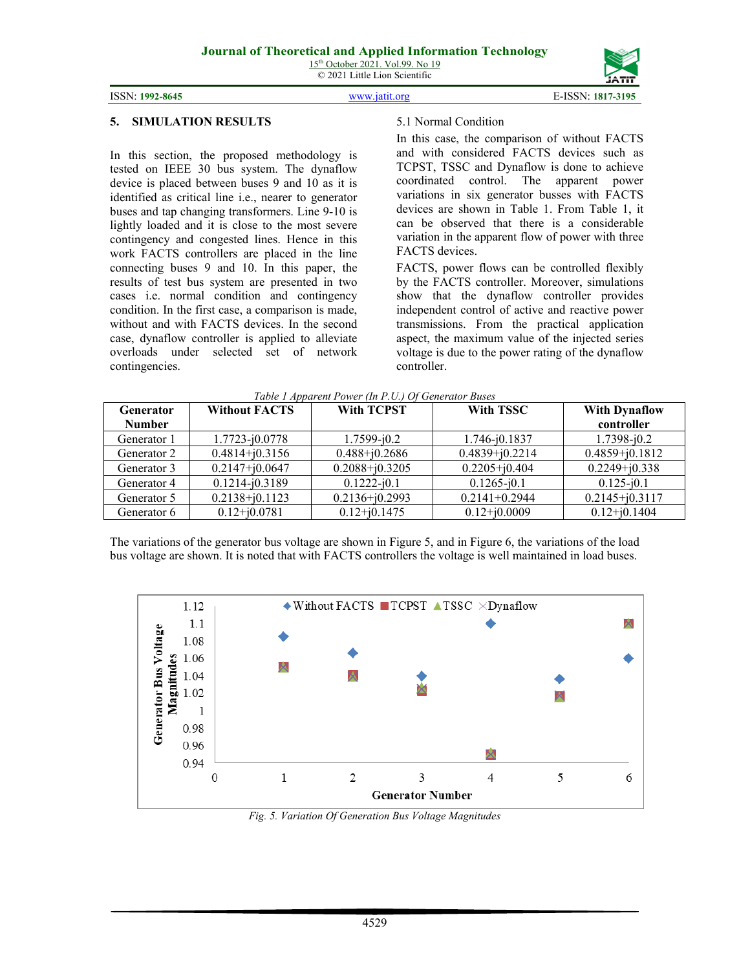# **5. SIMULATION RESULTS**

In this section, the proposed methodology is tested on IEEE 30 bus system. The dynaflow device is placed between buses 9 and 10 as it is identified as critical line i.e., nearer to generator buses and tap changing transformers. Line 9-10 is lightly loaded and it is close to the most severe contingency and congested lines. Hence in this work FACTS controllers are placed in the line connecting buses 9 and 10. In this paper, the results of test bus system are presented in two cases i.e. normal condition and contingency condition. In the first case, a comparison is made, without and with FACTS devices. In the second case, dynaflow controller is applied to alleviate overloads under selected set of network contingencies.

## 5.1 Normal Condition

In this case, the comparison of without FACTS and with considered FACTS devices such as TCPST, TSSC and Dynaflow is done to achieve coordinated control. The apparent power variations in six generator busses with FACTS devices are shown in Table 1. From Table 1, it can be observed that there is a considerable variation in the apparent flow of power with three FACTS devices.

FACTS, power flows can be controlled flexibly by the FACTS controller. Moreover, simulations show that the dynaflow controller provides independent control of active and reactive power transmissions. From the practical application aspect, the maximum value of the injected series voltage is due to the power rating of the dynaflow controller.

| Generator<br><b>Number</b> | <b>Without FACTS</b> | <b>With TCPST</b>  | <b>With TSSC</b>   | <b>With Dynaflow</b><br>controller |
|----------------------------|----------------------|--------------------|--------------------|------------------------------------|
| Generator 1                | $1.7723 - i0.0778$   | $1.7599 - j0.2$    | 1.746-i0.1837      | $1.7398 - j0.2$                    |
| Generator 2                | $0.4814 + j0.3156$   | $0.488 + j0.2686$  | $0.4839 + j0.2214$ | $0.4859 + j0.1812$                 |
| Generator 3                | $0.2147 + j0.0647$   | $0.2088 + j0.3205$ | $0.2205 + i0.404$  | $0.2249 + j0.338$                  |
| Generator 4                | $0.1214 - j0.3189$   | $0.1222 - j0.1$    | $0.1265 - j0.1$    | $0.125 - i0.1$                     |
| Generator 5                | $0.2138 + j0.1123$   | $0.2136 + j0.2993$ | $0.2141 + 0.2944$  | $0.2145 + j0.3117$                 |
| Generator 6                | $0.12 + j0.0781$     | $0.12 + j0.1475$   | $0.12 + j0.0009$   | $0.12 + j0.1404$                   |

*Table 1 Apparent Power (In P.U.) Of Generator Buses*

The variations of the generator bus voltage are shown in Figure 5, and in Figure 6, the variations of the load bus voltage are shown. It is noted that with FACTS controllers the voltage is well maintained in load buses.



*Fig. 5. Variation Of Generation Bus Voltage Magnitudes*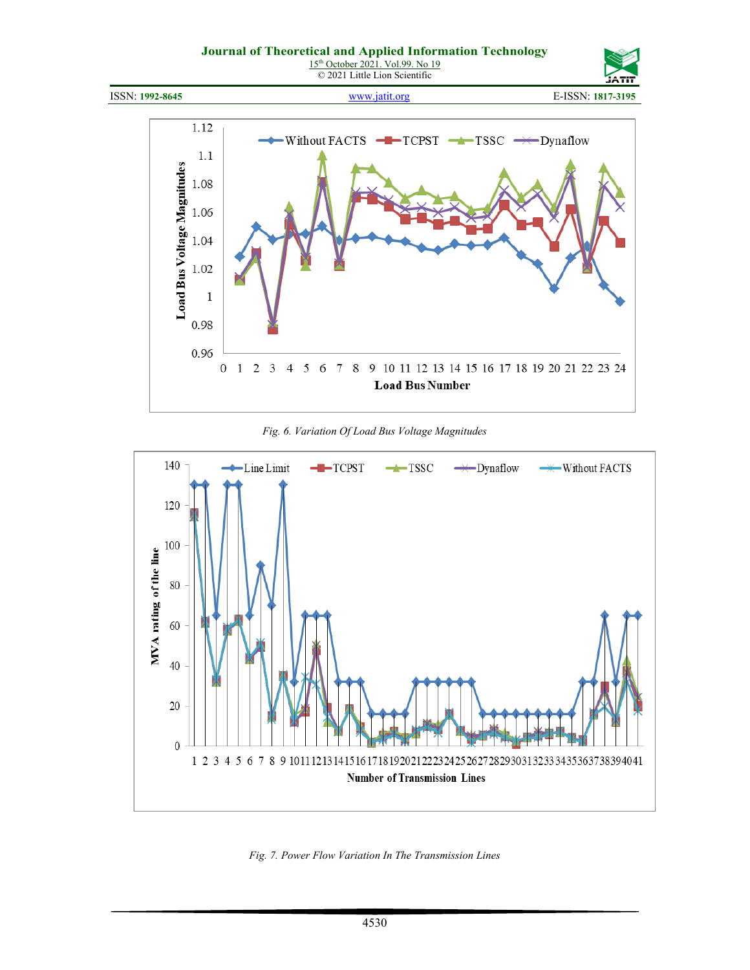# **Journal of Theoretical and Applied Information Technology**

15<sup>th</sup> October 2021. Vol.99. No 19 © 2021 Little Lion Scientific



ISSN: **1992-8645** [www.jatit.org](http://www.jatit.org/) E-ISSN: **1817-3195**



*Fig. 6. Variation Of Load Bus Voltage Magnitudes*



*Fig. 7. Power Flow Variation In The Transmission Lines*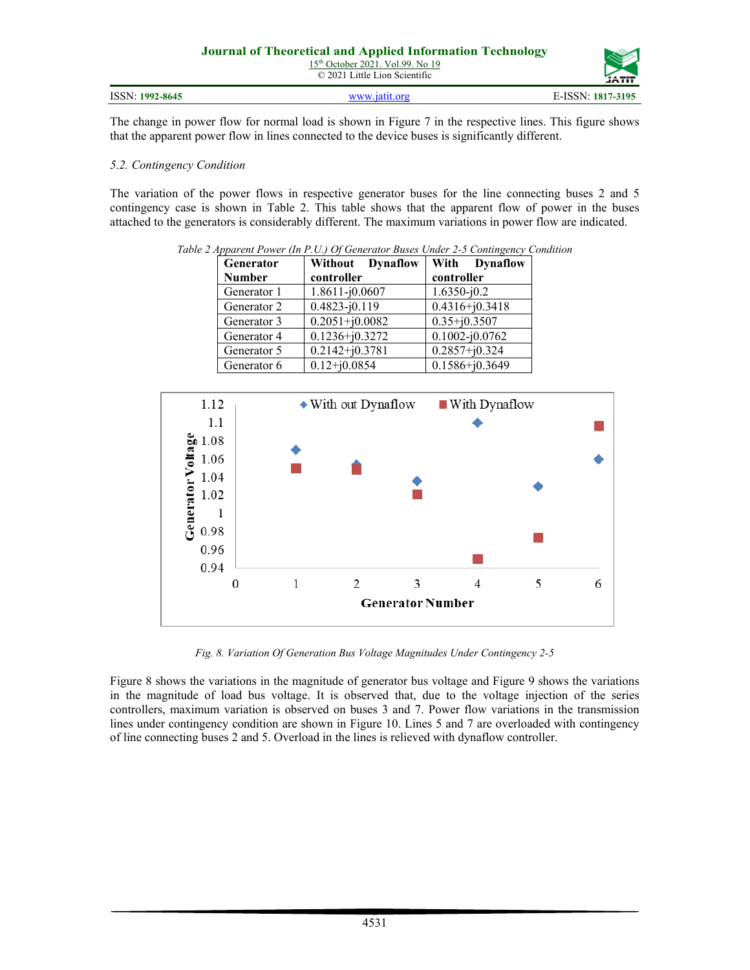| <b>Journal of Theoretical and Applied Information Technology</b><br>$15th$ October 2021. Vol.99. No 19<br>$\odot$ 2021 Little Lion Scientific |               |                   |  |
|-----------------------------------------------------------------------------------------------------------------------------------------------|---------------|-------------------|--|
| ISSN: 1992-8645                                                                                                                               | www.jatit.org | E-ISSN: 1817-3195 |  |

The change in power flow for normal load is shown in Figure 7 in the respective lines. This figure shows that the apparent power flow in lines connected to the device buses is significantly different.

#### *5.2. Contingency Condition*

The variation of the power flows in respective generator buses for the line connecting buses 2 and 5 contingency case is shown in Table 2. This table shows that the apparent flow of power in the buses attached to the generators is considerably different. The maximum variations in power flow are indicated.

| Generator     | Without Dynaflow   | With Dynaflow      |
|---------------|--------------------|--------------------|
| <b>Number</b> | controller         | controller         |
| Generator 1   | $1.8611 - j0.0607$ | $1.6350 - j0.2$    |
| Generator 2   | $0.4823 - j0.119$  | $0.4316 + j0.3418$ |
| Generator 3   | $0.2051 + j0.0082$ | $0.35 + j0.3507$   |
| Generator 4   | $0.1236 + j0.3272$ | $0.1002 - j0.0762$ |
| Generator 5   | $0.2142 + j0.3781$ | $0.2857 + j0.324$  |
| Generator 6   | $0.12 + j0.0854$   | $0.1586 + j0.3649$ |

*Table 2 Apparent Power (In P.U.) Of Generator Buses Under 2-5 Contingency Condition*



*Fig. 8. Variation Of Generation Bus Voltage Magnitudes Under Contingency 2-5*

Figure 8 shows the variations in the magnitude of generator bus voltage and Figure 9 shows the variations in the magnitude of load bus voltage. It is observed that, due to the voltage injection of the series controllers, maximum variation is observed on buses 3 and 7. Power flow variations in the transmission lines under contingency condition are shown in Figure 10. Lines 5 and 7 are overloaded with contingency of line connecting buses 2 and 5. Overload in the lines is relieved with dynaflow controller.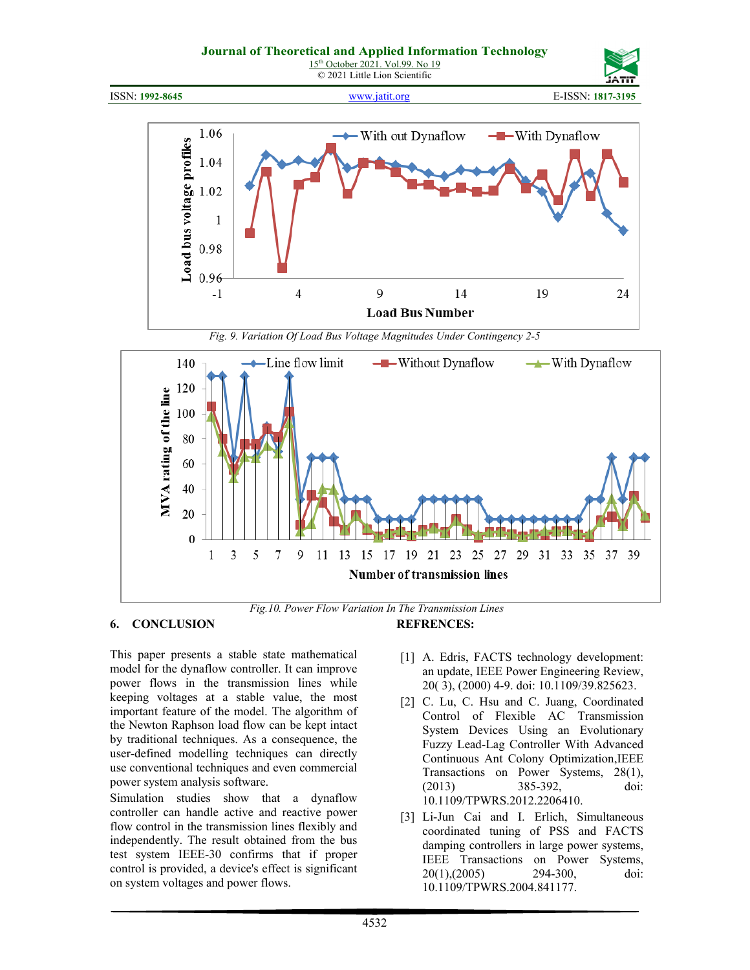#### **Journal of Theoretical and Applied Information Technology**







ISSN: **1992-8645** [www.jatit.org](http://www.jatit.org/) E-ISSN: **1817-3195**



*Fig. 9. Variation Of Load Bus Voltage Magnitudes Under Contingency 2-5*



*Fig.10. Power Flow Variation In The Transmission Lines*

### **6. CONCLUSION**

This paper presents a stable state mathematical model for the dynaflow controller. It can improve power flows in the transmission lines while keeping voltages at a stable value, the most important feature of the model. The algorithm of the Newton Raphson load flow can be kept intact by traditional techniques. As a consequence, the user-defined modelling techniques can directly use conventional techniques and even commercial power system analysis software.

Simulation studies show that a dynaflow controller can handle active and reactive power flow control in the transmission lines flexibly and independently. The result obtained from the bus test system IEEE-30 confirms that if proper control is provided, a device's effect is significant on system voltages and power flows.

**REFRENCES:** 

- [1] A. Edris, FACTS technology development: an update, IEEE Power Engineering Review, 20( 3), (2000) 4-9. doi: 10.1109/39.825623.
- [2] C. Lu, C. Hsu and C. Juang, Coordinated Control of Flexible AC Transmission System Devices Using an Evolutionary Fuzzy Lead-Lag Controller With Advanced Continuous Ant Colony Optimization,IEEE Transactions on Power Systems, 28(1), (2013) 385-392, doi: 10.1109/TPWRS.2012.2206410.
- [3] Li-Jun Cai and I. Erlich, Simultaneous coordinated tuning of PSS and FACTS damping controllers in large power systems, IEEE Transactions on Power Systems, 20(1),(2005) 294-300, doi: 10.1109/TPWRS.2004.841177.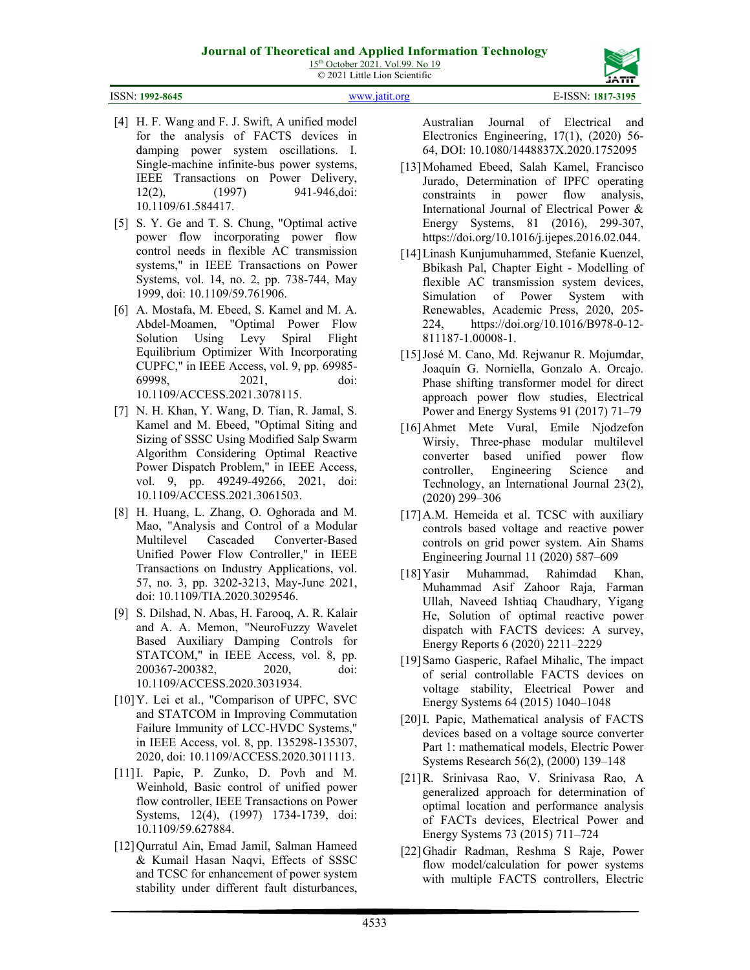ISSN: **1992-8645** [www.jatit.org](http://www.jatit.org/) E-ISSN: **1817-3195**

- [4] H. F. Wang and F. J. Swift, A unified model for the analysis of FACTS devices in damping power system oscillations. I. Single-machine infinite-bus power systems, IEEE Transactions on Power Delivery, 12(2), (1997) 941-946,doi: 10.1109/61.584417.
- [5] S. Y. Ge and T. S. Chung, "Optimal active power flow incorporating power flow control needs in flexible AC transmission systems," in IEEE Transactions on Power Systems, vol. 14, no. 2, pp. 738-744, May 1999, doi: 10.1109/59.761906.
- [6] A. Mostafa, M. Ebeed, S. Kamel and M. A. Abdel-Moamen, "Optimal Power Flow Solution Using Levy Spiral Flight Equilibrium Optimizer With Incorporating CUPFC," in IEEE Access, vol. 9, pp. 69985- 69998, 2021, doi: 10.1109/ACCESS.2021.3078115.
- [7] N. H. Khan, Y. Wang, D. Tian, R. Jamal, S. Kamel and M. Ebeed, "Optimal Siting and Sizing of SSSC Using Modified Salp Swarm Algorithm Considering Optimal Reactive Power Dispatch Problem," in IEEE Access, vol. 9, pp. 49249-49266, 2021, doi: 10.1109/ACCESS.2021.3061503.
- [8] H. Huang, L. Zhang, O. Oghorada and M. Mao, "Analysis and Control of a Modular Multilevel Cascaded Converter-Based Unified Power Flow Controller," in IEEE Transactions on Industry Applications, vol. 57, no. 3, pp. 3202-3213, May-June 2021, doi: 10.1109/TIA.2020.3029546.
- [9] S. Dilshad, N. Abas, H. Farooq, A. R. Kalair and A. A. Memon, "NeuroFuzzy Wavelet Based Auxiliary Damping Controls for STATCOM," in IEEE Access, vol. 8, pp. 200367-200382, 2020, doi: 10.1109/ACCESS.2020.3031934.
- [10]Y. Lei et al., "Comparison of UPFC, SVC and STATCOM in Improving Commutation Failure Immunity of LCC-HVDC Systems," in IEEE Access, vol. 8, pp. 135298-135307, 2020, doi: 10.1109/ACCESS.2020.3011113.
- [11] I. Papic, P. Zunko, D. Povh and M. Weinhold, Basic control of unified power flow controller, IEEE Transactions on Power Systems, 12(4), (1997) 1734-1739, doi: 10.1109/59.627884.
- [12]Qurratul Ain, Emad Jamil, Salman Hameed & Kumail Hasan Naqvi, Effects of SSSC and TCSC for enhancement of power system stability under different fault disturbances,

Australian Journal of Electrical and Electronics Engineering, 17(1), (2020) 56- 64, DOI: 10.1080/1448837X.2020.1752095

- [13]Mohamed Ebeed, Salah Kamel, Francisco Jurado, Determination of IPFC operating constraints in power flow analysis, International Journal of Electrical Power & Energy Systems, 81 (2016), 299-307, https://doi.org/10.1016/j.ijepes.2016.02.044.
- [14]Linash Kunjumuhammed, Stefanie Kuenzel, Bbikash Pal, Chapter Eight - Modelling of flexible AC transmission system devices, Simulation of Power System with Renewables, Academic Press, 2020, 205- 224, https://doi.org/10.1016/B978-0-12- 811187-1.00008-1.
- [15]José M. Cano, Md. Rejwanur R. Mojumdar, Joaquín G. Norniella, Gonzalo A. Orcajo. Phase shifting transformer model for direct approach power flow studies, Electrical Power and Energy Systems 91 (2017) 71–79
- [16]Ahmet Mete Vural, Emile Njodzefon Wirsiy, Three-phase modular multilevel converter based unified power flow controller, Engineering Science and Technology, an International Journal 23(2), (2020) 299–306
- [17] A.M. Hemeida et al. TCSC with auxiliary controls based voltage and reactive power controls on grid power system. Ain Shams Engineering Journal 11 (2020) 587–609
- [18]Yasir Muhammad, Rahimdad Khan, Muhammad Asif Zahoor Raja, Farman Ullah, Naveed Ishtiaq Chaudhary, Yigang He, Solution of optimal reactive power dispatch with FACTS devices: A survey, Energy Reports 6 (2020) 2211–2229
- [19]Samo Gasperic, Rafael Mihalic, The impact of serial controllable FACTS devices on voltage stability, Electrical Power and Energy Systems 64 (2015) 1040–1048
- [20]I. Papic, Mathematical analysis of FACTS devices based on a voltage source converter Part 1: mathematical models, Electric Power Systems Research 56(2), (2000) 139–148
- [21]R. Srinivasa Rao, V. Srinivasa Rao, A generalized approach for determination of optimal location and performance analysis of FACTs devices, Electrical Power and Energy Systems 73 (2015) 711–724
- [22]Ghadir Radman, Reshma S Raje, Power flow model/calculation for power systems with multiple FACTS controllers, Electric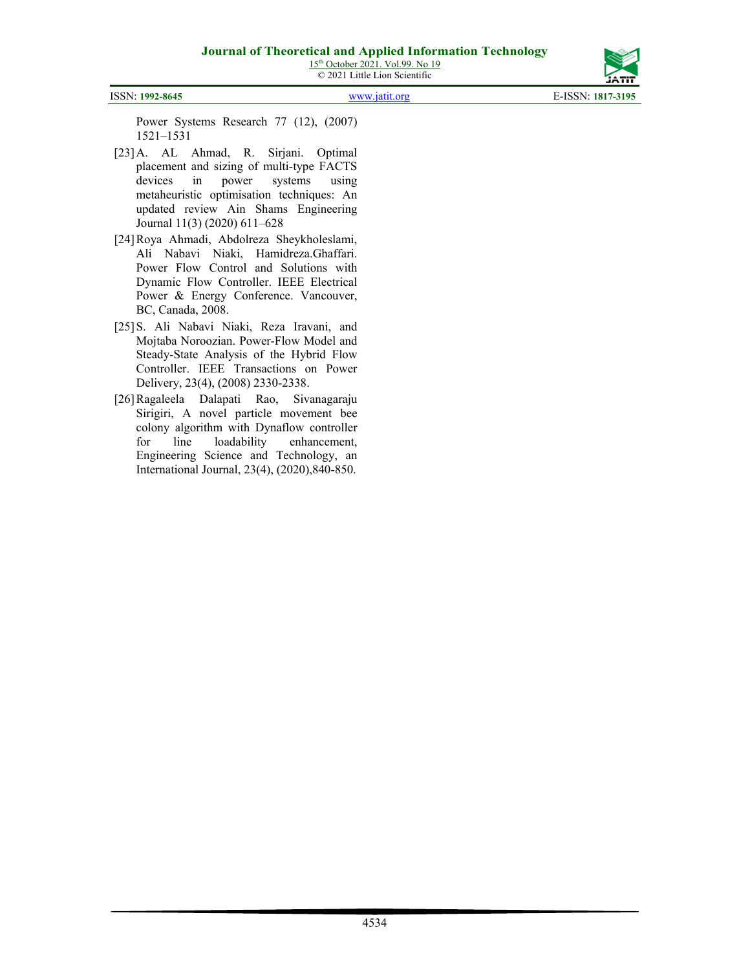

ISSN: **1992-8645** [www.jatit.org](http://www.jatit.org/) E-ISSN: **1817-3195**

Power Systems Research 77 (12), (2007) 1521–1531

- [23]A. AL Ahmad, R. Sirjani. Optimal placement and sizing of multi-type FACTS devices in power systems using metaheuristic optimisation techniques: An updated review Ain Shams Engineering Journal 11(3) (2020) 611–628
- [24]Roya Ahmadi, Abdolreza Sheykholeslami, Ali Nabavi Niaki, Hamidreza.Ghaffari. Power Flow Control and Solutions with Dynamic Flow Controller. IEEE Electrical Power & Energy Conference. Vancouver, BC, Canada, 2008.
- [25]S. Ali Nabavi Niaki, Reza Iravani, and Mojtaba Noroozian. Power-Flow Model and Steady-State Analysis of the Hybrid Flow Controller. IEEE Transactions on Power Delivery, 23(4), (2008) 2330-2338.
- [26]Ragaleela Dalapati Rao, Sivanagaraju Sirigiri, A novel particle movement bee colony algorithm with Dynaflow controller for line loadability enhancement, Engineering Science and Technology, an International Journal, 23(4), (2020),840-850.